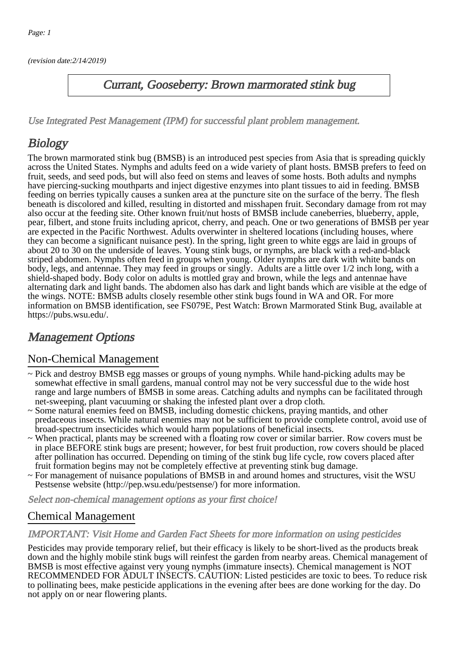(revision date:2/14/2019)

### Currant, Gooseberry: Brown marmorated stink bug

[Use Integrated Pest Management \(IPM\) for successful plant problem management.](http://pep.wsu.edu/Home_Garden/H_G_Pesticide_info/urban_Integrated_Pest_Managmen/)

# **Biology**

The brown marmorated stink bug (BMSB) is an introduced pest species from Asia that is spreading quickly across the United States. Nymphs and adults feed on a wide variety of plant hosts. BMSB prefers to feed on fruit, seeds, and seed pods, but will also feed on stems and leaves of some hosts. Both adults and nymphs have piercing-sucking mouthparts and inject digestive enzymes into plant tissues to aid in feeding. BMSB feeding on berries typically causes a sunken area at the puncture site on the surface of the berry. The flesh beneath is discolored and killed, resulting in distorted and misshapen fruit. Secondary damage from rot may also occur at the feeding site. Other known fruit/nut hosts of BMSB include caneberries, blueberry, apple, pear, filbert, and stone fruits including apricot, cherry, and peach. One or two generations of BMSB per year are expected in the Pacific Northwest. Adults overwinter in sheltered locations (including houses, where they can become a significant nuisance pest). In the spring, light green to white eggs are laid in groups of about 20 to 30 on the underside of leaves. Young stink bugs, or nymphs, are black with a red-and-black striped abdomen. Nymphs often feed in groups when young. Older nymphs are dark with white bands on body, legs, and antennae. They may feed in groups or singly. Adults are a little over 1/2 inch long, with a shield-shaped body. Body color on adults is mottled gray and brown, while the legs and antennae have alternating dark and light bands. The abdomen also has dark and light bands which are visible at the edge of the wings. NOTE: BMSB adults closely resemble other stink bugs found in WA and OR. For more information on BMSB identification, see FS079E, Pest Watch: Brown Marmorated Stink Bug, available at https://pubs.wsu.edu/.

## Management Options

#### Non-Chemical Management

- ~ Pick and destroy BMSB egg masses or groups of young nymphs. While hand-picking adults may be somewhat effective in small gardens, manual control may not be very successful due to the wide host range and large numbers of BMSB in some areas. Catching adults and nymphs can be facilitated through net-sweeping, plant vacuuming or shaking the infested plant over a drop cloth.
- ~ Some natural enemies feed on BMSB, including domestic chickens, praying mantids, and other predaceous insects. While natural enemies may not be sufficient to provide complete control, avoid use of broad-spectrum insecticides which would harm populations of beneficial insects.
- ~ When practical, plants may be screened with a floating row cover or similar barrier. Row covers must be in place BEFORE stink bugs are present; however, for best fruit production, row covers should be placed after pollination has occurred. Depending on timing of the stink bug life cycle, row covers placed after fruit formation begins may not be completely effective at preventing stink bug damage.
- ~ For management of nuisance populations of BMSB in and around homes and structures, visit the WSU Pestsense website (http://pep.wsu.edu/pestsense/) for more information.

Select non-chemical management options as your first choice!

#### Chemical Management

#### IMPORTANT: [Visit Home and Garden Fact Sheets for more information on using pesticides](http://pep.wsu.edu/Home_Garden/H_G_Pesticide_info/)

Pesticides may provide temporary relief, but their efficacy is likely to be short-lived as the products break down and the highly mobile stink bugs will reinfest the garden from nearby areas. Chemical management of BMSB is most effective against very young nymphs (immature insects). Chemical management is NOT RECOMMENDED FOR ADULT INSECTS. CAUTION: Listed pesticides are toxic to bees. To reduce risk to pollinating bees, make pesticide applications in the evening after bees are done working for the day. Do not apply on or near flowering plants.